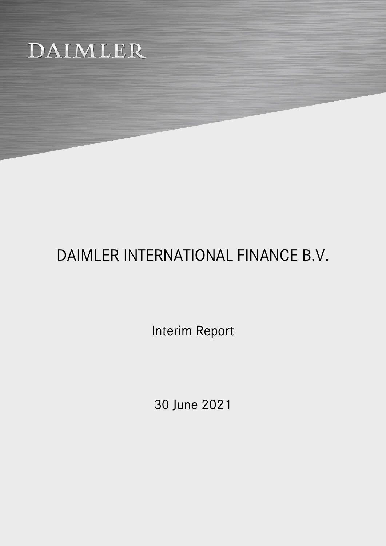# DAIMLER

## DAIMLER INTERNATIONAL FINANCE B.V.

Interim Report

30 June 2021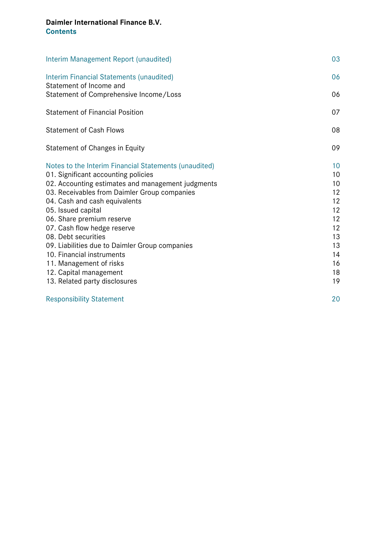## **Daimler International Finance B.V. Contents**

| Interim Management Report (unaudited)                               | 03 |
|---------------------------------------------------------------------|----|
| Interim Financial Statements (unaudited)<br>Statement of Income and | 06 |
| Statement of Comprehensive Income/Loss                              | 06 |
| <b>Statement of Financial Position</b>                              | 07 |
| <b>Statement of Cash Flows</b>                                      | 08 |
| Statement of Changes in Equity                                      | 09 |
| Notes to the Interim Financial Statements (unaudited)               | 10 |
| 01. Significant accounting policies                                 | 10 |
| 02. Accounting estimates and management judgments                   | 10 |
| 03. Receivables from Daimler Group companies                        | 12 |
| 04. Cash and cash equivalents                                       | 12 |
| 05. Issued capital                                                  | 12 |
| 06. Share premium reserve                                           | 12 |
| 07. Cash flow hedge reserve                                         | 12 |
| 08. Debt securities                                                 | 13 |
| 09. Liabilities due to Daimler Group companies                      | 13 |
| 10. Financial instruments                                           | 14 |
| 11. Management of risks                                             | 16 |
| 12. Capital management                                              | 18 |
| 13. Related party disclosures                                       | 19 |
| <b>Responsibility Statement</b>                                     | 20 |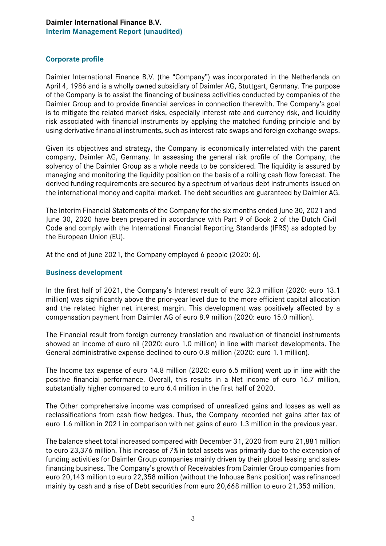#### **Daimler International Finance B.V. Interim Management Report (unaudited)**

#### **Corporate profile**

Daimler International Finance B.V. (the "Company") was incorporated in the Netherlands on April 4, 1986 and is a wholly owned subsidiary of Daimler AG, Stuttgart, Germany. The purpose of the Company is to assist the financing of business activities conducted by companies of the Daimler Group and to provide financial services in connection therewith. The Company's goal is to mitigate the related market risks, especially interest rate and currency risk, and liquidity risk associated with financial instruments by applying the matched funding principle and by using derivative financial instruments, such as interest rate swaps and foreign exchange swaps.

Given its objectives and strategy, the Company is economically interrelated with the parent company, Daimler AG, Germany. In assessing the general risk profile of the Company, the solvency of the Daimler Group as a whole needs to be considered. The liquidity is assured by managing and monitoring the liquidity position on the basis of a rolling cash flow forecast. The derived funding requirements are secured by a spectrum of various debt instruments issued on the international money and capital market. The debt securities are guaranteed by Daimler AG.

The Interim Financial Statements of the Company for the six months ended June 30, 2021 and June 30, 2020 have been prepared in accordance with Part 9 of Book 2 of the Dutch Civil Code and comply with the International Financial Reporting Standards (IFRS) as adopted by the European Union (EU).

At the end of June 2021, the Company employed 6 people (2020: 6).

#### **Business development**

In the first half of 2021, the Company's Interest result of euro 32.3 million (2020: euro 13.1 million) was significantly above the prior-year level due to the more efficient capital allocation and the related higher net interest margin. This development was positively affected by a compensation payment from Daimler AG of euro 8.9 million (2020: euro 15.0 million).

The Financial result from foreign currency translation and revaluation of financial instruments showed an income of euro nil (2020: euro 1.0 million) in line with market developments. The General administrative expense declined to euro 0.8 million (2020: euro 1.1 million).

The Income tax expense of euro 14.8 million (2020: euro 6.5 million) went up in line with the positive financial performance. Overall, this results in a Net income of euro 16.7 million, substantially higher compared to euro 6.4 million in the first half of 2020.

The Other comprehensive income was comprised of unrealized gains and losses as well as reclassifications from cash flow hedges. Thus, the Company recorded net gains after tax of euro 1.6 million in 2021 in comparison with net gains of euro 1.3 million in the previous year.

The balance sheet total increased compared with December 31, 2020 from euro 21,881 million to euro 23,376 million. This increase of 7% in total assets was primarily due to the extension of funding activities for Daimler Group companies mainly driven by their global leasing and salesfinancing business. The Company's growth of Receivables from Daimler Group companies from euro 20,143 million to euro 22,358 million (without the Inhouse Bank position) was refinanced mainly by cash and a rise of Debt securities from euro 20,668 million to euro 21,353 million.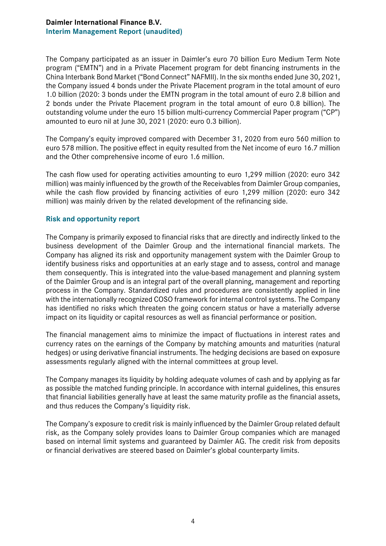#### **Daimler International Finance B.V. Interim Management Report (unaudited)**

The Company participated as an issuer in Daimler's euro 70 billion Euro Medium Term Note program ("EMTN") and in a Private Placement program for debt financing instruments in the China Interbank Bond Market ("Bond Connect" NAFMII). In the six months ended June 30, 2021, the Company issued 4 bonds under the Private Placement program in the total amount of euro 1.0 billion (2020: 3 bonds under the EMTN program in the total amount of euro 2.8 billion and 2 bonds under the Private Placement program in the total amount of euro 0.8 billion). The outstanding volume under the euro 15 billion multi-currency Commercial Paper program ("CP") amounted to euro nil at June 30, 2021 (2020: euro 0.3 billion).

The Company's equity improved compared with December 31, 2020 from euro 560 million to euro 578 million. The positive effect in equity resulted from the Net income of euro 16.7 million and the Other comprehensive income of euro 1.6 million.

The cash flow used for operating activities amounting to euro 1,299 million (2020: euro 342 million) was mainly influenced by the growth of the Receivables from Daimler Group companies, while the cash flow provided by financing activities of euro 1,299 million (2020: euro 342 million) was mainly driven by the related development of the refinancing side.

#### **Risk and opportunity report**

The Company is primarily exposed to financial risks that are directly and indirectly linked to the business development of the Daimler Group and the international financial markets. The Company has aligned its risk and opportunity management system with the Daimler Group to identify business risks and opportunities at an early stage and to assess, control and manage them consequently. This is integrated into the value-based management and planning system of the Daimler Group and is an integral part of the overall planning, management and reporting process in the Company. Standardized rules and procedures are consistently applied in line with the internationally recognized COSO framework for internal control systems. The Company has identified no risks which threaten the going concern status or have a materially adverse impact on its liquidity or capital resources as well as financial performance or position.

The financial management aims to minimize the impact of fluctuations in interest rates and currency rates on the earnings of the Company by matching amounts and maturities (natural hedges) or using derivative financial instruments. The hedging decisions are based on exposure assessments regularly aligned with the internal committees at group level.

The Company manages its liquidity by holding adequate volumes of cash and by applying as far as possible the matched funding principle. In accordance with internal guidelines, this ensures that financial liabilities generally have at least the same maturity profile as the financial assets, and thus reduces the Company's liquidity risk.

The Company's exposure to credit risk is mainly influenced by the Daimler Group related default risk, as the Company solely provides loans to Daimler Group companies which are managed based on internal limit systems and guaranteed by Daimler AG. The credit risk from deposits or financial derivatives are steered based on Daimler's global counterparty limits.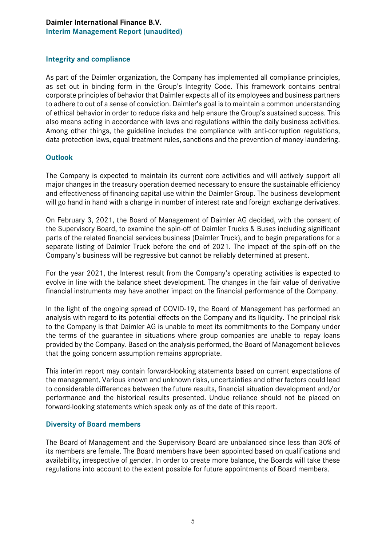#### **Daimler International Finance B.V. Interim Management Report (unaudited)**

#### **Integrity and compliance**

As part of the Daimler organization, the Company has implemented all compliance principles, as set out in binding form in the Group's Integrity Code. This framework contains central corporate principles of behavior that Daimler expects all of its employees and business partners to adhere to out of a sense of conviction. Daimler's goal is to maintain a common understanding of ethical behavior in order to reduce risks and help ensure the Group's sustained success. This also means acting in accordance with laws and regulations within the daily business activities. Among other things, the guideline includes the compliance with anti-corruption regulations, data protection laws, equal treatment rules, sanctions and the prevention of money laundering.

#### **Outlook**

The Company is expected to maintain its current core activities and will actively support all major changes in the treasury operation deemed necessary to ensure the sustainable efficiency and effectiveness of financing capital use within the Daimler Group. The business development will go hand in hand with a change in number of interest rate and foreign exchange derivatives.

On February 3, 2021, the Board of Management of Daimler AG decided, with the consent of the Supervisory Board, to examine the spin-off of Daimler Trucks & Buses including significant parts of the related financial services business (Daimler Truck), and to begin preparations for a separate listing of Daimler Truck before the end of 2021. The impact of the spin-off on the Company's business will be regressive but cannot be reliably determined at present.

For the year 2021, the Interest result from the Company's operating activities is expected to evolve in line with the balance sheet development. The changes in the fair value of derivative financial instruments may have another impact on the financial performance of the Company.

In the light of the ongoing spread of COVID-19, the Board of Management has performed an analysis with regard to its potential effects on the Company and its liquidity. The principal risk to the Company is that Daimler AG is unable to meet its commitments to the Company under the terms of the guarantee in situations where group companies are unable to repay loans provided by the Company. Based on the analysis performed, the Board of Management believes that the going concern assumption remains appropriate.

This interim report may contain forward-looking statements based on current expectations of the management. Various known and unknown risks, uncertainties and other factors could lead to considerable differences between the future results, financial situation development and/or performance and the historical results presented. Undue reliance should not be placed on forward-looking statements which speak only as of the date of this report.

#### **Diversity of Board members**

The Board of Management and the Supervisory Board are unbalanced since less than 30% of its members are female. The Board members have been appointed based on qualifications and availability, irrespective of gender. In order to create more balance, the Boards will take these regulations into account to the extent possible for future appointments of Board members.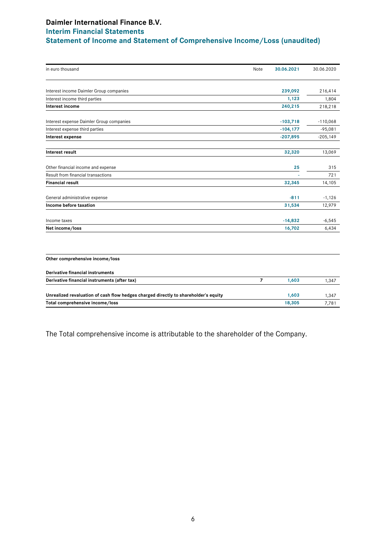## **Daimler International Finance B.V. Interim Financial Statements Statement of Income and Statement of Comprehensive Income/Loss (unaudited)**

| in euro thousand                                                                    | Note           | 30.06.2021  | 30.06.2020 |
|-------------------------------------------------------------------------------------|----------------|-------------|------------|
|                                                                                     |                |             |            |
| Interest income Daimler Group companies                                             |                | 239,092     | 216,414    |
| Interest income third parties                                                       |                | 1,123       | 1,804      |
| Interest income                                                                     |                | 240,215     | 218,218    |
| Interest expense Daimler Group companies                                            |                | $-103,718$  | $-110,068$ |
| Interest expense third parties                                                      |                | $-104, 177$ | $-95,081$  |
| Interest expense                                                                    |                | $-207,895$  | $-205,149$ |
| Interest result                                                                     |                | 32,320      | 13,069     |
| Other financial income and expense                                                  |                | 25          | 315        |
| Result from financial transactions                                                  |                |             | 721        |
| <b>Financial result</b>                                                             |                | 32,345      | 14,105     |
| General administrative expense                                                      |                | $-811$      | $-1,126$   |
| Income before taxation                                                              |                | 31,534      | 12,979     |
| Income taxes                                                                        |                | $-14,832$   | $-6,545$   |
| Net income/loss                                                                     |                | 16,702      | 6,434      |
|                                                                                     |                |             |            |
| Other comprehensive income/loss                                                     |                |             |            |
| Derivative financial instruments                                                    |                |             |            |
| Derivative financial instruments (after tax)                                        | $\overline{7}$ | 1,603       | 1,347      |
| Unrealized revaluation of cash flow hedges charged directly to shareholder's equity |                | 1,603       | 1,347      |
| Total comprehensive income/loss                                                     |                | 18,305      | 7,781      |

The Total comprehensive income is attributable to the shareholder of the Company.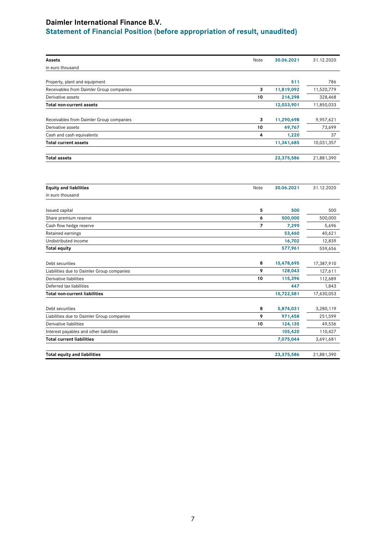## **Daimler International Finance B.V. Statement of Financial Position (before appropriation of result, unaudited)**

| Assets                                     | Note | 30.06.2021 | 31.12.2020 |
|--------------------------------------------|------|------------|------------|
| in euro thousand                           |      |            |            |
|                                            |      |            |            |
| Property, plant and equipment              |      | 511        | 786        |
| Receivables from Daimler Group companies   | 3    | 11,819,092 | 11,520,779 |
| Derivative assets                          | 10   | 214,298    | 328,468    |
| Total non-current assets                   |      | 12,033,901 | 11,850,033 |
| Receivables from Daimler Group companies   | 3    | 11,290,698 | 9,957,621  |
| Derivative assets                          | 10   | 49,767     | 73,699     |
| Cash and cash equivalents                  | 4    | 1,220      | 37         |
| <b>Total current assets</b>                |      | 11,341,685 | 10,031,357 |
| <b>Total assets</b>                        |      | 23,375,586 | 21,881,390 |
|                                            |      |            |            |
| <b>Equity and liabilities</b>              | Note | 30.06.2021 | 31.12.2020 |
| in euro thousand                           |      |            |            |
| <b>Issued capital</b>                      | 5    | 500        | 500        |
| Share premium reserve                      | 6    | 500,000    | 500,000    |
| Cash flow hedge reserve                    | 7    | 7,299      | 5,696      |
| Retained earnings                          |      | 53,460     | 40,621     |
| Undistributed income                       |      | 16,702     | 12,839     |
| <b>Total equity</b>                        |      | 577,961    | 559,656    |
| Debt securities                            | 8    | 15,478,695 | 17,387,910 |
| Liabilities due to Daimler Group companies | 9    | 128,043    | 127,611    |
| Derivative liabilities                     | 10   | 115,396    | 112,689    |
| Deferred tax liabilities                   |      | 447        | 1,843      |
| <b>Total non-current liabilities</b>       |      | 15,722,581 | 17,630,053 |
| Debt securities                            | 8    | 5,874,031  | 3,280,119  |
| Liabilities due to Daimler Group companies | 9    | 971,458    | 251,599    |
| Derivative liabilities                     | 10   | 124,135    | 49,536     |
| Interest payables and other liabilities    |      | 105,420    | 110,427    |
| <b>Total current liabilities</b>           |      | 7,075,044  | 3,691,681  |
| <b>Total equity and liabilities</b>        |      | 23,375,586 | 21,881,390 |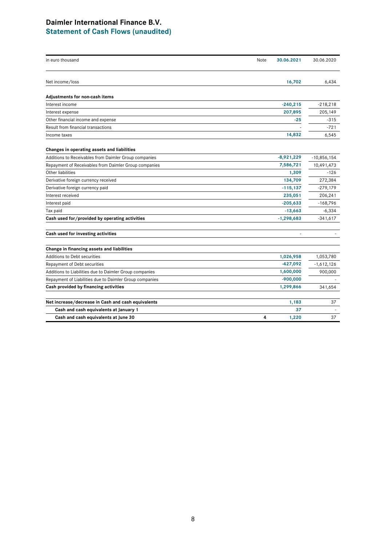#### **Daimler International Finance B.V. Statement of Cash Flows (unaudited)**

## in euro thousand Note **30.06.2021** 30.06.2020 Net income/loss **16,702** 6,434 **Adjustments for non-cash items** Interest income **-240,215** -218,218 Interest expense **207,895** 205,149 Other financial income and expense **-25** -315 Result from financial transactions **-** -721 Income taxes **14,832** 6,545 **Changes in operating assets and liabilities** Additions to Receivables from Daimler Group companies **-8,921,229** -10,856,154 Repayment of Receivables from Daimler Group companies **7,586,721** 10,491,473 Other liabilities **1,309** -126 Derivative foreign currency received **134,709** 272,384 Derivative foreign currency paid **-115,137** -279,179 Interest received **235,051** 206,241 Interest paid **-205,633** -168,796 Tax paid **-13,663** -6,334 **Cash used for/provided by operating activities -1,298,683** -341,617 **Cash used for investing activities -** - **Change in financing assets and liabilities** Additions to Debt securities **1,026,958** 1,053,780 Repayment of Debt securities **-427,092** -1,612,126 Additions to Liabilities due to Daimler Group companies **1,600,000** 900,000 Repayment of Liabilities due to Daimler Group companies **and the example of the COS**,000 -900,000 **Cash provided by financing activities 1,299,866** 341,654

| Net increase/decrease in Cash and cash equivalents | .183 |  |
|----------------------------------------------------|------|--|
| Cash and cash equivalents at January 1             |      |  |
| Cash and cash equivalents at June 30               | .220 |  |
|                                                    |      |  |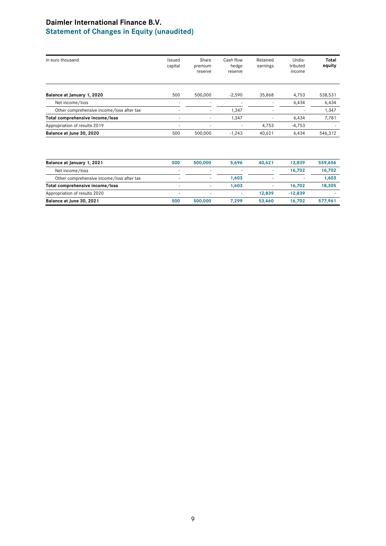## **Daimler International Finance B.V. Statement of Changes in Equity (unaudited)**

| in euro thousand                          | Issued<br>capital | Share<br>premium<br>reserve | Cash flow<br>hedge<br>reserve | Retained<br>earnings | Undis-<br>tributed<br>income | <b>Total</b><br>equity |
|-------------------------------------------|-------------------|-----------------------------|-------------------------------|----------------------|------------------------------|------------------------|
| Balance at January 1, 2020                | 500               | 500,000                     | $-2.590$                      | 35,868               | 4.753                        | 538,531                |
| Net income/loss                           |                   |                             |                               |                      | 6,434                        | 6,434                  |
| Other comprehensive income/loss after tax | ۰                 |                             | 1,347                         |                      |                              | 1,347                  |
| Total comprehensive income/loss           | ۰                 | ۰                           | 1,347                         |                      | 6,434                        | 7,781                  |
| Appropriation of results 2019             | ۰                 |                             | ۰                             | 4.753                | $-4,753$                     | ۰                      |
| Balance at June 30, 2020                  | 500               | 500,000                     | $-1,243$                      | 40,621               | 6,434                        | 546,312                |

| Balance at January 1, 2021                | 500 | 500.000 | 5.696 | 40,621 | 12,839    | 559,656 |
|-------------------------------------------|-----|---------|-------|--------|-----------|---------|
| Net income/loss                           |     |         |       | -      | 16.702    | 16,702  |
| Other comprehensive income/loss after tax |     | ۰       | 1.603 | ٠      | ۰         | 1.603   |
| Total comprehensive income/loss           |     |         | 1.603 |        | 16.702    | 18,305  |
| Appropriation of results 2020             | ۰   |         |       | 12,839 | $-12.839$ |         |
| Balance at June 30, 2021                  | 500 | 500.000 | 7.299 | 53,460 | 16.702    | 577,961 |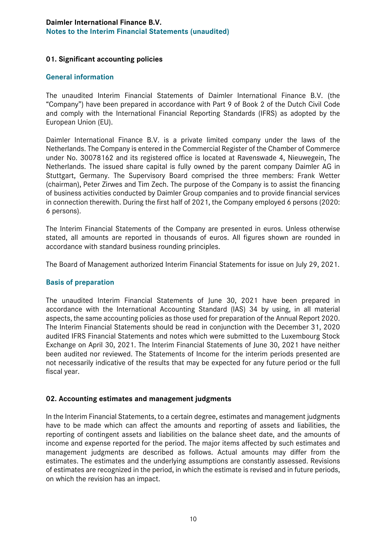#### **01. Significant accounting policies**

#### **General information**

The unaudited Interim Financial Statements of Daimler International Finance B.V. (the "Company") have been prepared in accordance with Part 9 of Book 2 of the Dutch Civil Code and comply with the International Financial Reporting Standards (IFRS) as adopted by the European Union (EU).

Daimler International Finance B.V. is a private limited company under the laws of the Netherlands. The Company is entered in the Commercial Register of the Chamber of Commerce under No. 30078162 and its registered office is located at Ravenswade 4, Nieuwegein, The Netherlands. The issued share capital is fully owned by the parent company Daimler AG in Stuttgart, Germany. The Supervisory Board comprised the three members: Frank Wetter (chairman), Peter Zirwes and Tim Zech. The purpose of the Company is to assist the financing of business activities conducted by Daimler Group companies and to provide financial services in connection therewith. During the first half of 2021, the Company employed 6 persons (2020: 6 persons).

The Interim Financial Statements of the Company are presented in euros. Unless otherwise stated, all amounts are reported in thousands of euros. All figures shown are rounded in accordance with standard business rounding principles.

The Board of Management authorized Interim Financial Statements for issue on July 29, 2021.

#### **Basis of preparation**

The unaudited Interim Financial Statements of June 30, 2021 have been prepared in accordance with the International Accounting Standard (IAS) 34 by using, in all material aspects, the same accounting policies as those used for preparation of the Annual Report 2020. The Interim Financial Statements should be read in conjunction with the December 31, 2020 audited IFRS Financial Statements and notes which were submitted to the Luxembourg Stock Exchange on April 30, 2021. The Interim Financial Statements of June 30, 2021 have neither been audited nor reviewed. The Statements of Income for the interim periods presented are not necessarily indicative of the results that may be expected for any future period or the full fiscal year.

#### **02. Accounting estimates and management judgments**

In the Interim Financial Statements, to a certain degree, estimates and management judgments have to be made which can affect the amounts and reporting of assets and liabilities, the reporting of contingent assets and liabilities on the balance sheet date, and the amounts of income and expense reported for the period. The major items affected by such estimates and management judgments are described as follows. Actual amounts may differ from the estimates. The estimates and the underlying assumptions are constantly assessed. Revisions of estimates are recognized in the period, in which the estimate is revised and in future periods, on which the revision has an impact.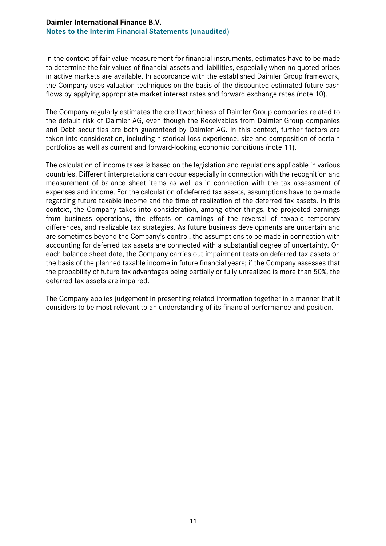In the context of fair value measurement for financial instruments, estimates have to be made to determine the fair values of financial assets and liabilities, especially when no quoted prices in active markets are available. In accordance with the established Daimler Group framework, the Company uses valuation techniques on the basis of the discounted estimated future cash flows by applying appropriate market interest rates and forward exchange rates (note 10).

The Company regularly estimates the creditworthiness of Daimler Group companies related to the default risk of Daimler AG, even though the Receivables from Daimler Group companies and Debt securities are both guaranteed by Daimler AG. In this context, further factors are taken into consideration, including historical loss experience, size and composition of certain portfolios as well as current and forward-looking economic conditions (note 11).

The calculation of income taxes is based on the legislation and regulations applicable in various countries. Different interpretations can occur especially in connection with the recognition and measurement of balance sheet items as well as in connection with the tax assessment of expenses and income. For the calculation of deferred tax assets, assumptions have to be made regarding future taxable income and the time of realization of the deferred tax assets. In this context, the Company takes into consideration, among other things, the projected earnings from business operations, the effects on earnings of the reversal of taxable temporary differences, and realizable tax strategies. As future business developments are uncertain and are sometimes beyond the Company's control, the assumptions to be made in connection with accounting for deferred tax assets are connected with a substantial degree of uncertainty. On each balance sheet date, the Company carries out impairment tests on deferred tax assets on the basis of the planned taxable income in future financial years; if the Company assesses that the probability of future tax advantages being partially or fully unrealized is more than 50%, the deferred tax assets are impaired.

The Company applies judgement in presenting related information together in a manner that it considers to be most relevant to an understanding of its financial performance and position.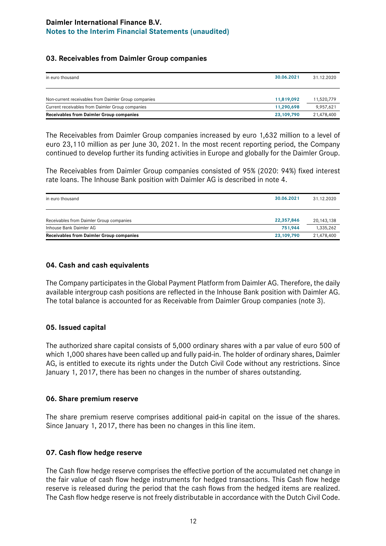#### **03. Receivables from Daimler Group companies**

| in euro thousand                                     | 30.06.2021 | 31.12.2020 |
|------------------------------------------------------|------------|------------|
| Non-current receivables from Daimler Group companies | 11.819.092 | 11,520,779 |
| Current receivables from Daimler Group companies     | 11.290.698 | 9,957,621  |
| <b>Receivables from Daimler Group companies</b>      | 23,109,790 | 21,478,400 |

The Receivables from Daimler Group companies increased by euro 1,632 million to a level of euro 23,110 million as per June 30, 2021. In the most recent reporting period, the Company continued to develop further its funding activities in Europe and globally for the Daimler Group.

The Receivables from Daimler Group companies consisted of 95% (2020: 94%) fixed interest rate loans. The Inhouse Bank position with Daimler AG is described in note 4.

| in euro thousand                                | 30.06.2021 | 31.12.2020   |
|-------------------------------------------------|------------|--------------|
| Receivables from Daimler Group companies        | 22,357,846 | 20, 143, 138 |
| Inhouse Bank Daimler AG                         | 751,944    | 1,335,262    |
| <b>Receivables from Daimler Group companies</b> | 23,109,790 | 21,478,400   |

#### **04. Cash and cash equivalents**

The Company participates in the Global Payment Platform from Daimler AG. Therefore, the daily available intergroup cash positions are reflected in the Inhouse Bank position with Daimler AG. The total balance is accounted for as Receivable from Daimler Group companies (note 3).

#### **05. Issued capital**

The authorized share capital consists of 5,000 ordinary shares with a par value of euro 500 of which 1,000 shares have been called up and fully paid-in. The holder of ordinary shares, Daimler AG, is entitled to execute its rights under the Dutch Civil Code without any restrictions. Since January 1, 2017, there has been no changes in the number of shares outstanding.

#### **06. Share premium reserve**

The share premium reserve comprises additional paid-in capital on the issue of the shares. Since January 1, 2017, there has been no changes in this line item.

#### **07. Cash flow hedge reserve**

The Cash flow hedge reserve comprises the effective portion of the accumulated net change in the fair value of cash flow hedge instruments for hedged transactions. This Cash flow hedge reserve is released during the period that the cash flows from the hedged items are realized. The Cash flow hedge reserve is not freely distributable in accordance with the Dutch Civil Code.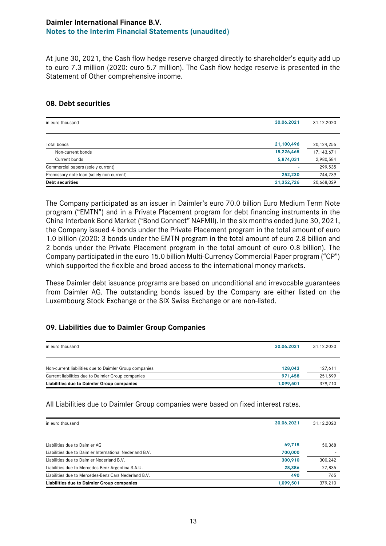At June 30, 2021, the Cash flow hedge reserve charged directly to shareholder's equity add up to euro 7.3 million (2020: euro 5.7 million). The Cash flow hedge reserve is presented in the Statement of Other comprehensive income.

#### **08. Debt securities**

| in euro thousand                          | 30.06.2021 | 31.12.2020   |
|-------------------------------------------|------------|--------------|
|                                           |            |              |
| Total bonds                               | 21,100,496 | 20,124,255   |
| Non-current bonds                         | 15,226,465 | 17, 143, 671 |
| Current bonds                             | 5,874,031  | 2,980,584    |
| Commercial papers (solely current)        |            | 299,535      |
| Promissory-note loan (solely non-current) | 252,230    | 244,239      |
| <b>Debt securities</b>                    | 21,352,726 | 20,668,029   |

The Company participated as an issuer in Daimler's euro 70.0 billion Euro Medium Term Note program ("EMTN") and in a Private Placement program for debt financing instruments in the China Interbank Bond Market ("Bond Connect" NAFMII). In the six months ended June 30, 2021, the Company issued 4 bonds under the Private Placement program in the total amount of euro 1.0 billion (2020: 3 bonds under the EMTN program in the total amount of euro 2.8 billion and 2 bonds under the Private Placement program in the total amount of euro 0.8 billion). The Company participated in the euro 15.0 billion Multi-Currency Commercial Paper program ("CP") which supported the flexible and broad access to the international money markets.

These Daimler debt issuance programs are based on unconditional and irrevocable guarantees from Daimler AG. The outstanding bonds issued by the Company are either listed on the Luxembourg Stock Exchange or the SIX Swiss Exchange or are non-listed.

#### **09. Liabilities due to Daimler Group Companies**

| in euro thousand                                       | 30.06.2021 | 31.12.2020 |
|--------------------------------------------------------|------------|------------|
| Non-current liabilities due to Daimler Group companies | 128,043    | 127,611    |
| Current liabilities due to Daimler Group companies     | 971,458    | 251,599    |
| Liabilities due to Daimler Group companies             | 1,099,501  | 379.210    |

All Liabilities due to Daimler Group companies were based on fixed interest rates.

| 30.06.2021<br>in euro thousand                                     | 31.12.2020 |
|--------------------------------------------------------------------|------------|
| Liabilities due to Daimler AG<br>69,715                            | 50,368     |
| 700,000<br>Liabilities due to Daimler International Nederland B.V. |            |
| 300,910<br>Liabilities due to Daimler Nederland B.V.               | 300.242    |
| Liabilities due to Mercedes-Benz Argentina S.A.U.<br>28,386        | 27,835     |
| 490<br>Liabilities due to Mercedes-Benz Cars Nederland B.V.        | 765        |
| Liabilities due to Daimler Group companies<br>1,099,501            | 379.210    |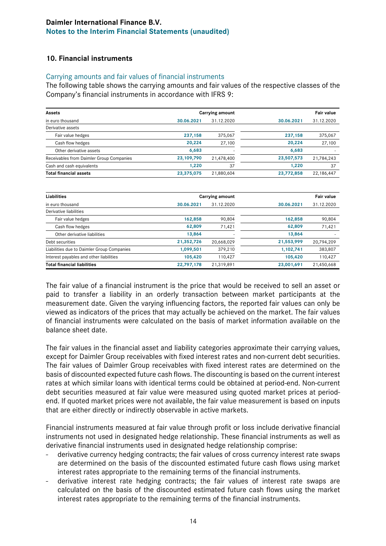#### **10. Financial instruments**

#### Carrying amounts and fair values of financial instruments

The following table shows the carrying amounts and fair values of the respective classes of the Company's financial instruments in accordance with IFRS 9:

| Assets                                   |            | <b>Carrying amount</b> |            | <b>Fair value</b> |
|------------------------------------------|------------|------------------------|------------|-------------------|
| in euro thousand                         | 30.06.2021 | 31.12.2020             | 30.06.2021 | 31.12.2020        |
| Derivative assets                        |            |                        |            |                   |
| Fair value hedges                        | 237,158    | 375,067                | 237.158    | 375,067           |
| Cash flow hedges                         | 20,224     | 27,100                 | 20,224     | 27,100            |
| Other derivative assets                  | 6,683      |                        | 6,683      |                   |
| Receivables from Daimler Group Companies | 23,109,790 | 21,478,400             | 23,507,573 | 21,784,243        |
| Cash and cash equivalents                | 1.220      | 37                     | 1.220      | 37                |
| <b>Total financial assets</b>            | 23,375,075 | 21,880,604             | 23.772.858 | 22,186,447        |
|                                          |            |                        |            |                   |

| Liabilities                                |            | Carrying amount |            | <b>Fair value</b> |  |  |
|--------------------------------------------|------------|-----------------|------------|-------------------|--|--|
| in euro thousand                           | 30.06.2021 | 31.12.2020      | 30.06.2021 | 31.12.2020        |  |  |
| Derivative liabilities                     |            |                 |            |                   |  |  |
| Fair value hedges                          | 162,858    | 90,804          | 162,858    | 90,804            |  |  |
| Cash flow hedges                           | 62,809     | 71,421          | 62,809     | 71,421            |  |  |
| Other derivative liabilities               | 13,864     |                 | 13,864     |                   |  |  |
| Debt securities                            | 21,352,726 | 20,668,029      | 21,553,999 | 20,794,209        |  |  |
| Liabilities due to Daimler Group Companies | 1,099,501  | 379,210         | 1,102,741  | 383,807           |  |  |
| Interest payables and other liabilities    | 105,420    | 110,427         | 105,420    | 110,427           |  |  |
| <b>Total financial liabilities</b>         | 22,797,178 | 21,319,891      | 23,001,691 | 21,450,668        |  |  |

The fair value of a financial instrument is the price that would be received to sell an asset or paid to transfer a liability in an orderly transaction between market participants at the measurement date. Given the varying influencing factors, the reported fair values can only be viewed as indicators of the prices that may actually be achieved on the market. The fair values of financial instruments were calculated on the basis of market information available on the balance sheet date.

The fair values in the financial asset and liability categories approximate their carrying values, except for Daimler Group receivables with fixed interest rates and non-current debt securities. The fair values of Daimler Group receivables with fixed interest rates are determined on the basis of discounted expected future cash flows. The discounting is based on the current interest rates at which similar loans with identical terms could be obtained at period-end. Non-current debt securities measured at fair value were measured using quoted market prices at periodend. If quoted market prices were not available, the fair value measurement is based on inputs that are either directly or indirectly observable in active markets.

Financial instruments measured at fair value through profit or loss include derivative financial instruments not used in designated hedge relationship. These financial instruments as well as derivative financial instruments used in designated hedge relationship comprise:

- derivative currency hedging contracts; the fair values of cross currency interest rate swaps are determined on the basis of the discounted estimated future cash flows using market interest rates appropriate to the remaining terms of the financial instruments.
- derivative interest rate hedging contracts; the fair values of interest rate swaps are calculated on the basis of the discounted estimated future cash flows using the market interest rates appropriate to the remaining terms of the financial instruments.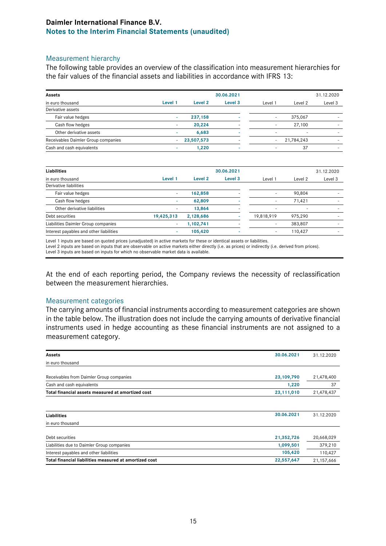#### Measurement hierarchy

The following table provides an overview of the classification into measurement hierarchies for the fair values of the financial assets and liabilities in accordance with IFRS 13:

|         |            | 30.06.2021         |         |            | 31.12.2020 |
|---------|------------|--------------------|---------|------------|------------|
| Level 1 | Level 2    | Level <sub>3</sub> | Level 1 | Level 2    | Level 3    |
|         |            |                    |         |            |            |
|         | 237.158    |                    | ۰       | 375,067    |            |
|         | 20,224     | <b>.</b>           | ۰       | 27,100     |            |
| ۰       | 6,683      | <b>.</b>           | ۰.      | $\sim$     |            |
|         | 23,507,573 |                    |         | 21,784,243 | ۰          |
|         | 1.220      | <b>.</b>           | ۰       | 37         | -          |
|         |            |                    |         |            |            |

| Liabilities                             |            |           | 30.06.2021 |            |         | 31.12.2020 |
|-----------------------------------------|------------|-----------|------------|------------|---------|------------|
| in euro thousand                        | Level 1    | Level 2   | Level 3    | Level 1    | Level 2 | Level 3    |
| Derivative liabilities                  |            |           |            |            |         |            |
| Fair value hedges                       |            | 162,858   |            | ۰.         | 90,804  | -          |
| Cash flow hedges                        |            | 62,809    |            | ۰.         | 71,421  | ۰          |
| Other derivative liabilities            | ٠          | 13,864    |            | ۰          | -       |            |
| Debt securities                         | 19,425,313 | 2,128,686 |            | 19,818,919 | 975,290 | -          |
| Liabilities Daimler Group companies     | ٠          | 1,102,741 |            | ۰.         | 383,807 |            |
| Interest payables and other liabilities |            | 105,420   | <b>1</b>   | ٠.         | 110.427 | -          |

Level 1 inputs are based on quoted prices (unadjusted) in active markets for these or identical assets or liabilities.

Level 2 inputs are based on inputs that are observable on active markets either directly (i.e. as prices) or indirectly (i.e. derived from prices).

Level 3 inputs are based on inputs for which no observable market data is available.

At the end of each reporting period, the Company reviews the necessity of reclassification between the measurement hierarchies.

#### Measurement categories

The carrying amounts of financial instruments according to measurement categories are shown in the table below. The illustration does not include the carrying amounts of derivative financial instruments used in hedge accounting as these financial instruments are not assigned to a measurement category.

| Assets                                                               | 30.06.2021   | 31.12.2020 |
|----------------------------------------------------------------------|--------------|------------|
| in euro thousand                                                     |              |            |
|                                                                      |              |            |
| Receivables from Daimler Group companies                             | 23, 109, 790 | 21,478,400 |
| Cash and cash equivalents                                            | 1,220        | 37         |
| Total financial assets measured at amortized cost                    | 23,111,010   | 21,478,437 |
|                                                                      |              |            |
| Liabilities                                                          | 30.06.2021   | 31.12.2020 |
| in euro thousand                                                     |              |            |
| Debt securities                                                      | 21,352,726   | 20,668,029 |
| Liabilities due to Daimler Group companies                           | 1,099,501    | 379,210    |
| Interest payables and other liabilities                              | 105,420      | 110,427    |
| Total financial liabilities measured at amortized cost<br>22,557,647 |              |            |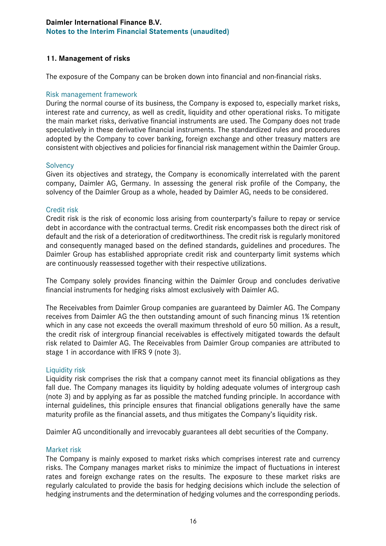#### **11. Management of risks**

The exposure of the Company can be broken down into financial and non-financial risks.

#### Risk management framework

During the normal course of its business, the Company is exposed to, especially market risks, interest rate and currency, as well as credit, liquidity and other operational risks. To mitigate the main market risks, derivative financial instruments are used. The Company does not trade speculatively in these derivative financial instruments. The standardized rules and procedures adopted by the Company to cover banking, foreign exchange and other treasury matters are consistent with objectives and policies for financial risk management within the Daimler Group.

#### **Solvency**

Given its objectives and strategy, the Company is economically interrelated with the parent company, Daimler AG, Germany. In assessing the general risk profile of the Company, the solvency of the Daimler Group as a whole, headed by Daimler AG, needs to be considered.

#### Credit risk

Credit risk is the risk of economic loss arising from counterparty's failure to repay or service debt in accordance with the contractual terms. Credit risk encompasses both the direct risk of default and the risk of a deterioration of creditworthiness. The credit risk is regularly monitored and consequently managed based on the defined standards, guidelines and procedures. The Daimler Group has established appropriate credit risk and counterparty limit systems which are continuously reassessed together with their respective utilizations.

The Company solely provides financing within the Daimler Group and concludes derivative financial instruments for hedging risks almost exclusively with Daimler AG.

The Receivables from Daimler Group companies are guaranteed by Daimler AG. The Company receives from Daimler AG the then outstanding amount of such financing minus 1% retention which in any case not exceeds the overall maximum threshold of euro 50 million. As a result, the credit risk of intergroup financial receivables is effectively mitigated towards the default risk related to Daimler AG. The Receivables from Daimler Group companies are attributed to stage 1 in accordance with IFRS 9 (note 3).

#### Liquidity risk

Liquidity risk comprises the risk that a company cannot meet its financial obligations as they fall due. The Company manages its liquidity by holding adequate volumes of intergroup cash (note 3) and by applying as far as possible the matched funding principle. In accordance with internal guidelines, this principle ensures that financial obligations generally have the same maturity profile as the financial assets, and thus mitigates the Company's liquidity risk.

Daimler AG unconditionally and irrevocably guarantees all debt securities of the Company.

#### Market risk

The Company is mainly exposed to market risks which comprises interest rate and currency risks. The Company manages market risks to minimize the impact of fluctuations in interest rates and foreign exchange rates on the results. The exposure to these market risks are regularly calculated to provide the basis for hedging decisions which include the selection of hedging instruments and the determination of hedging volumes and the corresponding periods.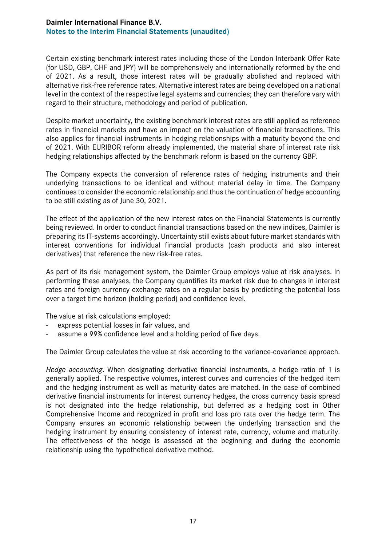Certain existing benchmark interest rates including those of the London Interbank Offer Rate (for USD, GBP, CHF and JPY) will be comprehensively and internationally reformed by the end of 2021. As a result, those interest rates will be gradually abolished and replaced with alternative risk-free reference rates. Alternative interest rates are being developed on a national level in the context of the respective legal systems and currencies; they can therefore vary with regard to their structure, methodology and period of publication.

Despite market uncertainty, the existing benchmark interest rates are still applied as reference rates in financial markets and have an impact on the valuation of financial transactions. This also applies for financial instruments in hedging relationships with a maturity beyond the end of 2021. With EURIBOR reform already implemented, the material share of interest rate risk hedging relationships affected by the benchmark reform is based on the currency GBP.

The Company expects the conversion of reference rates of hedging instruments and their underlying transactions to be identical and without material delay in time. The Company continues to consider the economic relationship and thus the continuation of hedge accounting to be still existing as of June 30, 2021.

The effect of the application of the new interest rates on the Financial Statements is currently being reviewed. In order to conduct financial transactions based on the new indices, Daimler is preparing its IT-systems accordingly. Uncertainty still exists about future market standards with interest conventions for individual financial products (cash products and also interest derivatives) that reference the new risk-free rates.

As part of its risk management system, the Daimler Group employs value at risk analyses. In performing these analyses, the Company quantifies its market risk due to changes in interest rates and foreign currency exchange rates on a regular basis by predicting the potential loss over a target time horizon (holding period) and confidence level.

The value at risk calculations employed:

- express potential losses in fair values, and
- assume a 99% confidence level and a holding period of five days.

The Daimler Group calculates the value at risk according to the variance-covariance approach.

*Hedge accounting*. When designating derivative financial instruments, a hedge ratio of 1 is generally applied. The respective volumes, interest curves and currencies of the hedged item and the hedging instrument as well as maturity dates are matched. In the case of combined derivative financial instruments for interest currency hedges, the cross currency basis spread is not designated into the hedge relationship, but deferred as a hedging cost in Other Comprehensive Income and recognized in profit and loss pro rata over the hedge term. The Company ensures an economic relationship between the underlying transaction and the hedging instrument by ensuring consistency of interest rate, currency, volume and maturity. The effectiveness of the hedge is assessed at the beginning and during the economic relationship using the hypothetical derivative method.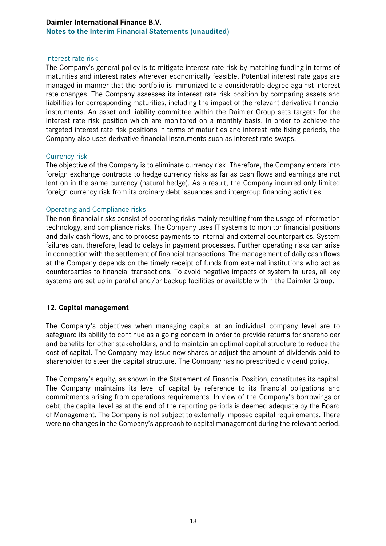#### Interest rate risk

The Company's general policy is to mitigate interest rate risk by matching funding in terms of maturities and interest rates wherever economically feasible. Potential interest rate gaps are managed in manner that the portfolio is immunized to a considerable degree against interest rate changes. The Company assesses its interest rate risk position by comparing assets and liabilities for corresponding maturities, including the impact of the relevant derivative financial instruments. An asset and liability committee within the Daimler Group sets targets for the interest rate risk position which are monitored on a monthly basis. In order to achieve the targeted interest rate risk positions in terms of maturities and interest rate fixing periods, the Company also uses derivative financial instruments such as interest rate swaps.

#### Currency risk

The objective of the Company is to eliminate currency risk. Therefore, the Company enters into foreign exchange contracts to hedge currency risks as far as cash flows and earnings are not lent on in the same currency (natural hedge). As a result, the Company incurred only limited foreign currency risk from its ordinary debt issuances and intergroup financing activities.

#### Operating and Compliance risks

The non-financial risks consist of operating risks mainly resulting from the usage of information technology, and compliance risks. The Company uses IT systems to monitor financial positions and daily cash flows, and to process payments to internal and external counterparties. System failures can, therefore, lead to delays in payment processes. Further operating risks can arise in connection with the settlement of financial transactions. The management of daily cash flows at the Company depends on the timely receipt of funds from external institutions who act as counterparties to financial transactions. To avoid negative impacts of system failures, all key systems are set up in parallel and/or backup facilities or available within the Daimler Group.

#### **12. Capital management**

The Company's objectives when managing capital at an individual company level are to safeguard its ability to continue as a going concern in order to provide returns for shareholder and benefits for other stakeholders, and to maintain an optimal capital structure to reduce the cost of capital. The Company may issue new shares or adjust the amount of dividends paid to shareholder to steer the capital structure. The Company has no prescribed dividend policy.

The Company's equity, as shown in the Statement of Financial Position, constitutes its capital. The Company maintains its level of capital by reference to its financial obligations and commitments arising from operations requirements. In view of the Company's borrowings or debt, the capital level as at the end of the reporting periods is deemed adequate by the Board of Management. The Company is not subject to externally imposed capital requirements. There were no changes in the Company's approach to capital management during the relevant period.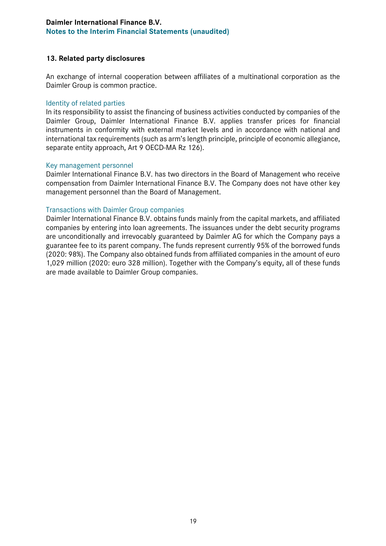#### **13. Related party disclosures**

An exchange of internal cooperation between affiliates of a multinational corporation as the Daimler Group is common practice.

#### Identity of related parties

In its responsibility to assist the financing of business activities conducted by companies of the Daimler Group, Daimler International Finance B.V. applies transfer prices for financial instruments in conformity with external market levels and in accordance with national and international tax requirements (such as arm's length principle, principle of economic allegiance, separate entity approach, Art 9 OECD-MA Rz 126).

#### Key management personnel

Daimler International Finance B.V. has two directors in the Board of Management who receive compensation from Daimler International Finance B.V. The Company does not have other key management personnel than the Board of Management.

#### Transactions with Daimler Group companies

Daimler International Finance B.V. obtains funds mainly from the capital markets, and affiliated companies by entering into loan agreements. The issuances under the debt security programs are unconditionally and irrevocably guaranteed by Daimler AG for which the Company pays a guarantee fee to its parent company. The funds represent currently 95% of the borrowed funds (2020: 98%). The Company also obtained funds from affiliated companies in the amount of euro 1,029 million (2020: euro 328 million). Together with the Company's equity, all of these funds are made available to Daimler Group companies.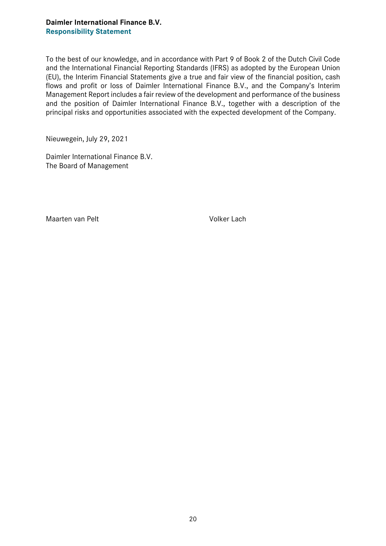#### **Daimler International Finance B.V. Responsibility Statement**

To the best of our knowledge, and in accordance with Part 9 of Book 2 of the Dutch Civil Code and the International Financial Reporting Standards (IFRS) as adopted by the European Union (EU), the Interim Financial Statements give a true and fair view of the financial position, cash flows and profit or loss of Daimler International Finance B.V., and the Company's Interim Management Report includes a fair review of the development and performance of the business and the position of Daimler International Finance B.V., together with a description of the principal risks and opportunities associated with the expected development of the Company.

Nieuwegein, July 29, 2021

Daimler International Finance B.V. The Board of Management

Maarten van Pelt Volker Lach